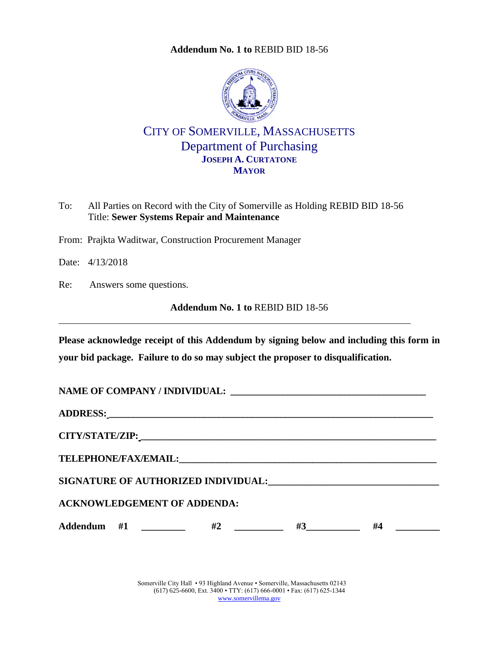**Addendum No. 1 to** [REBID BID 18-56](#page-0-0)

<span id="page-0-0"></span>

CITY OF SOMERVILLE, MASSACHUSETTS Department of Purchasing **JOSEPH A. CURTATONE MAYOR**

- To: All Parties on Record with the City of Somerville as Holding REBID BID 18-56 Title: **Sewer Systems Repair and Maintenance**
- From: Prajkta Waditwar, Construction Procurement Manager
- Date: 4/13/2018
- Re: Answers some questions.

**Addendum No. 1 to** [REBID BID 18-56](#page-0-0)

**Please acknowledge receipt of this Addendum by signing below and including this form in your bid package. Failure to do so may subject the proposer to disqualification.**

| <b>ACKNOWLEDGEMENT OF ADDENDA:</b> |  |                                  |  |           |  |
|------------------------------------|--|----------------------------------|--|-----------|--|
|                                    |  | Addendum #1 $\qquad$ #2 $\qquad$ |  | $#3$ $#4$ |  |

Somerville City Hall • 93 Highland Avenue • Somerville, Massachusetts 02143 (617) 625-6600, Ext. 3400 • TTY: (617) 666-0001 • Fax: (617) 625-1344 [www.somervillema.gov](http://www.somervillema.gov/)